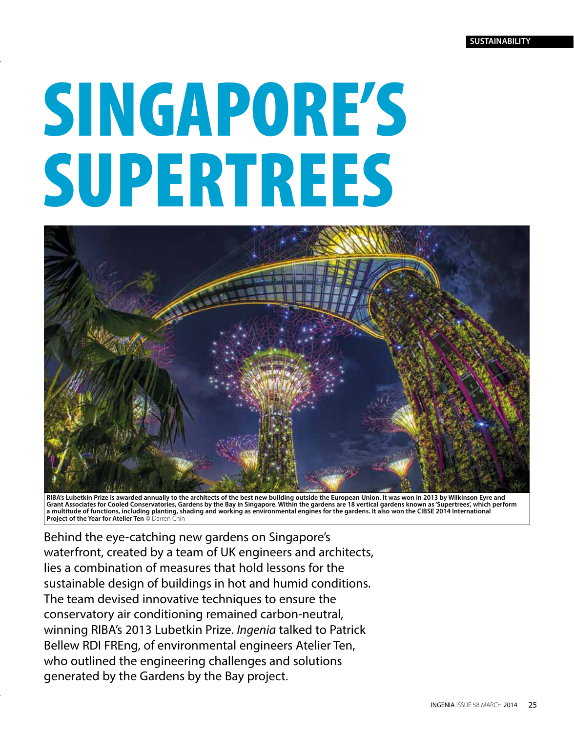# SINGAPORE'S SUPERTREES



**RIBA's Lubetkin Prize is awarded annually to the architects of the best new building outside the European Union. It was won in 2013 by Wilkinson Eyre and Grant Associates for Cooled Conservatories, Gardens by the Bay in Singapore. Within the gardens are 18 vertical gardens known as 'Supertrees', which perform a multitude of functions, including planting, shading and working as environmental engines for the gardens. It also won the CIBSE 2014 International Project of the Year for Atelier Ten** © Darren Chin

Behind the eye-catching new gardens on Singapore's waterfront, created by a team of UK engineers and architects, lies a combination of measures that hold lessons for the sustainable design of buildings in hot and humid conditions. The team devised innovative techniques to ensure the conservatory air conditioning remained carbon-neutral, winning RIBA's 2013 Lubetkin Prize. *Ingenia* talked to Patrick Bellew RDI FREng, of environmental engineers Atelier Ten, who outlined the engineering challenges and solutions generated by the Gardens by the Bay project.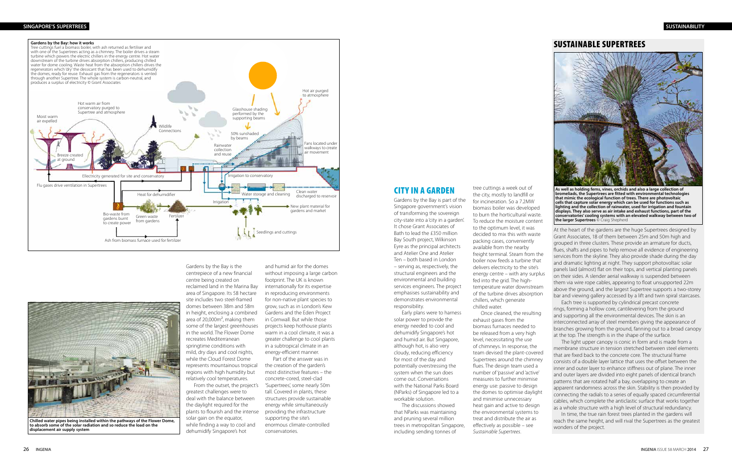## CITY IN A GARDEN

Gardens by the Bay is part of the Singapore government's vision of transforming the sovereign city-state into a 'city in a garden'. It chose Grant Associates of Bath to lead the £350 million Bay South project, Wilkinson Eyre as the principal architects and Atelier One and Atelier Ten – both based in London – serving as, respectively, the structural engineers and the environmental and building services engineers. The project emphasises sustainability and demonstrates environmental responsibility.

Early plans were to harness solar power to provide the energy needed to cool and dehumidify Singapore's hot and humid air. But Singapore, although hot, is also very cloudy, reducing efficiency for most of the day and potentially overstressing the system when the sun does come out. Conversations with the National Parks Board (NParks) of Singapore led to a workable solution.

The discussions showed that NParks was maintaining and pruning several million trees in metropolitan Singapore, including sending tonnes of

tree cuttings a week out of the city, mostly to landfill or for incineration. So a 7.2MW biomass boiler was developed to burn the horticultural waste. To reduce the moisture content to the optimum level, it was decided to mix this with waste packing cases, conveniently available from the nearby freight terminal. Steam from the boiler now feeds a turbine that delivers electricity to the site's energy centre – with any surplus fed into the grid. The hightemperature water downstream of the turbine drives absorption chillers, which generate chilled water. Once cleaned, the resulting exhaust gases from the biomass furnaces needed to be released from a very high level, necessitating the use

of chimneys. In response, the team devised the plant-covered Supertrees around the chimney flues. The design team used a number of 'passive' and 'active' measures to further minimise energy use: passive to design the domes to optimise daylight and minimise unnecessary heat gain and active to design the environmental systems to treat and distribute the air as effectively as possible – see *Sustainable Supertrees*.

### SUSTAINABLE SUPERTREES



Grant Associates, 18 of them between 25m and 50m high and grouped in three clusters. These provide an armature for ducts, flues, shafts and pipes to help remove all evidence of engineering services from the skyline. They also provide shade during the day and dramatic lighting at night. They support photovoltaic solar panels laid (almost) flat on their tops, and vertical planting panels on their sides. A slender aerial walkway is suspended between them via wire rope cables, appearing to float unsupported 22m above the ground, and the largest Supertree supports a two-storey bar and viewing gallery accessed by a lift and twin spiral staircases.

Each tree is supported by cylindrical precast concrete rings, forming a hollow core, cantilevering from the ground and supporting all the environmental devices. The skin is an interconnected array of steel members giving the appearance of branches growing from the ground, fanning out to a broad canopy at the top. The strength is in the shape of the surface.

At the heart of the gardens are the huge Supertrees designed by **As well as holding ferns, vines, orchids and also a large collection of bromeliads, the Supertrees are fitted with environmental technologies that mimic the ecological function of trees. There are photovoltaic cells that capture solar energy which can be used for functions such as lighting and the collection of rainwater, used for irrigation and fountain displays. They also serve as air intake and exhaust functions, part of the conservatories' cooling systems with an elevated walkway between two of the larger Supertrees** © Craig Shepherd

The light upper canopy is conic in form and is made from a membrane structure in tension stretched between steel elements that are fixed back to the concrete core. The structural frame consists of a double layer lattice that uses the offset between the inner and outer layer to enhance stiffness out of plane. The inner and outer layers are divided into eight panels of identical branch patterns that are rotated half a bay, overlapping to create an apparent randomness across the skin. Stability is then provided by connecting the radials to a series of equally spaced circumferential cables, which complete the anticlastic surface that works together as a whole structure with a high level of structural redundancy.

In time, the true rain forest trees planted in the gardens will reach the same height, and will rival the Supertrees as the greatest wonders of the project.

Gardens by the Bay is the centrepiece of a new financial centre being created on reclaimed land in the Marina Bay area of Singapore. Its 58 hectare site includes two steel-framed domes between 38m and 58m in height, enclosing a combined area of 20,000m², making them some of the largest greenhouses in the world. The Flower Dome recreates Mediterranean springtime conditions with mild, dry days and cool nights, while the Cloud Forest Dome represents mountainous tropical regions with high humidity but relatively cool temperatures.

From the outset, the project's greatest challenges were to deal with the balance between the daylight required for the plants to flourish and the intense solar gain on the equator, while finding a way to cool and dehumidify Singapore's hot

and humid air for the domes without imposing a large carbon footprint. The UK is known internationally for its expertise in reproducing environments for non-native plant species to grow, such as in London's Kew Gardens and the Eden Project in Cornwall. But while those projects keep hothouse plants warm in a cool climate, it was a greater challenge to cool plants in a subtropical climate in an energy-efficient manner.

Part of the answer was in the creation of the garden's most distinctive features – the concrete-cored, steel-clad 'Supertrees', some nearly 50m tall. Covered in plants, these structures provide sustainable energy while simultaneously providing the infrastructure supporting the site's enormous climate-controlled conservatories.



#### **SINGAPORE'S SUPERTREES SUSTAINABILITY**



**to absorb some of the solar radiation and so reduce the load on the displacement air supply system**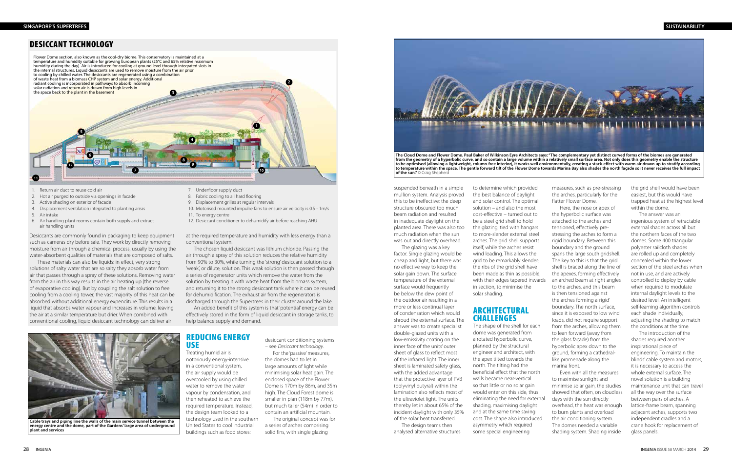suspended beneath in a simple mullion system. Analysis proved this to be ineffective: the deep structure obscured too much beam radiation and resulted in inadequate daylight on the planted area. There was also too much radiation when the sun was out and directly overhead.

The glazing was a key factor. Single glazing would be cheap and light, but there was no effective way to keep the solar gain down. The surface temperature of the external surface would frequently be below the dew point of the outdoor air resulting in a more or less continual layer of condensation which would shroud the external surface. The answer was to create specialist double-glazed units with a low-emissivity coating on the inner face of the units' outer sheet of glass to reflect most of the infrared light. The inner sheet is laminated safety glass, with the added advantage that the protective layer of PVB (polyvinyl butyral) within the lamination also reflects most of the ultraviolet light. The units thereby let in about 65% of the incident daylight with only 35% of the solar heat transferred.

## ARCHITECTURAL **CHALLENGES**

The design teams then analysed alternative structures

to determine which provided the best balance of daylight and solar control. The optimal solution – and also the most cost-effective – turned out to be a steel grid shell to hold the glazing, tied with hangars to more-slender external steel arches. The grid shell supports itself, while the arches resist wind loading. This allows the grid to be remarkably slender: the ribs of the grid shell have been made as thin as possible, with their edges tapered inwards in section, to minimise the solar shading.

The shape of the shell for each dome was generated from a rotated hyperbolic curve, planned by the structural engineer and architect, with the apex tilted towards the north. The tilting had the beneficial effect that the north walls became near-vertical so that little or no solar gain would enter on this side, thus eliminating the need for external shading, maximising daylight and at the same time saving cost. The shape also introduced asymmetry which required some special engineering

measures, such as pre-stressing the arches, particularly for the flatter Flower Dome.

Here, the nose or apex of the hyperbolic surface was attached to the arches and tensioned, effectively prestressing the arches to form a rigid boundary. Between this boundary and the ground spans the large south gridshell. The key to this is that the grid shell is braced along the line of the apexes, forming effectively an arched beam at right angles to the arches, and this beam is then tensioned against the arches forming a 'rigid' boundary. The north surface, since it is exposed to low wind loads, did not require support from the arches, allowing them to lean forward (away from the glass façade) from the hyperbolic apex down to the ground, forming a cathedrallike promenade along the marina front.

Even with all the measures to maximise sunlight and minimise solar gain, the studies showed that often, on cloudless days with the sun directly overhead, the heat was enough to burn plants and overload the air conditioning system. The domes needed a variable shading system. Shading inside

- 1. Return air duct to reuse cold air
- 2. Hot air purged to outside via openings in facade
- 3. Active shading on exterior of facade
- 4. Displacement ventilation integrated to planting areas
- 5. Air intake
- 6. Air handling plant rooms contain both supply and extract air handling units



**of the sun."** © Craig Shepherd

**to be optimised (allowing a lightweight, column-free interior), it works well environmentally, creating a stack-effect with warm air drawn up to stratify according to temperature within the space. The gentle forward tilt of the Flower Dome towards Marina Bay also shades the north façade so it never receives the full impact** 

the grid shell would have been easiest, but this would have trapped heat at the highest level within the dome.

The answer was an ingenious system of retractable external shades across all but the northern faces of the two domes. Some 400 triangular polyester sailcloth shades are rolled up and completely concealed within the lower section of the steel arches when not in use, and are actively controlled to deploy by cable when required to modulate internal daylight levels to the desired level. An intelligent self-learning algorithm controls each shade individually, adjusting the shading to match the conditions at the time.

The introduction of the shades required another inspirational piece of engineering. To maintain the blinds' cable system and motors, it is necessary to access the whole external surface. The novel solution is a building maintenance unit that can travel all the way over the surface between pairs of arches. A lattice-frame beam, spanning adjacent arches, supports two independent cradles and a crane hook for replacement of glass panels.

#### REDUCING ENERGY USE

Treating humid air is notoriously energy-intensive: in a conventional system, the air supply would be overcooled by using chilled water to remove the water vapour by condensation, and then reheated to achieve the required temperature. Instead, the design team looked to a technology used in the southern United States to cool industrial buildings such as food stores:

desiccant conditioning systems – see *Desiccant technology*.

For the 'passive' measures, the domes had to let in large amounts of light while minimising solar heat gain. The enclosed space of the Flower Dome is 170m by 86m, and 35m high. The Cloud Forest dome is smaller in plan (118m by 77m), but much taller (54m) in order to contain an artificial mountain.

The original concept was for a series of arches comprising solid fins, with single glazing

# DESICCANT TECHNOLOGY

- 7. Underfloor supply duct
- 8. Fabric cooling to all hard flooring
- 9. Displacement grilles at regular intervals
- 10. Motorised mounted impulse fans to ensure air velocity is 0.5 1m/s 11. To energy centre
- 12. Desiccant conditioner to dehumidify air before reaching AHU

Desiccants are commonly found in packaging to keep equipment such as cameras dry before sale. They work by directly removing moisture from air through a chemical process, usually by using the water-absorbent qualities of materials that are composed of salts.

Flower Dome section, also known as the cool-dry biome. This conservatory is maintained at a temperature and humidity suitable for growing European plants (25°C and 65% relative maximum humidity during the day). Air is introduced for cooling at ground level through integrated slots in the internal structures. Liquid desiccants are used to remove moisture from the air prior to cooling by chilled water. The desiccants are regenerated using a combination of waste heat from a biomass CHP system and solar energy. Additional radiant cooling is incorporated in pathways to absorb incoming solar radiation and return air is drawn from high levels in the space back to the plant in the basement **5 4 6 7 8 9 10 3 1 2 11 12**

These materials can also be liquids: in effect, very strong solutions of salty water that are so salty they absorb water from air that passes through a spray of these solutions. Removing water from the air in this way results in the air heating up (the reverse of evaporative cooling). But by coupling the salt solution to free cooling from a cooling tower, the vast majority of this heat can be absorbed without additional energy expenditure. This results in a liquid that absorbs water vapour and increases in volume, leaving the air at a similar temperature but drier. When combined with conventional cooling, liquid desiccant technology can deliver air

at the required temperature and humidity with less energy than a conventional system.

The chosen liquid desiccant was lithium chloride. Passing the air through a spray of this solution reduces the relative humidity from 90% to 30%, while turning the 'strong' desiccant solution to a 'weak', or dilute, solution. This weak solution is then passed through a series of regenerator units which remove the water from the solution by treating it with waste heat from the biomass system, and returning it to the strong desiccant tank where it can be reused for dehumidification. The exhaust air from the regenerators is discharged through the Supertrees in their cluster around the lake.

An added benefit of this system is that 'potential' energy can be effectively stored in the form of liquid desiccant in storage tanks, to help balance supply and demand.



**Cable trays and piping line the walls of the main service tunnel between the energy centre and the dome, part of the Gardens' large area of underground plant and services**